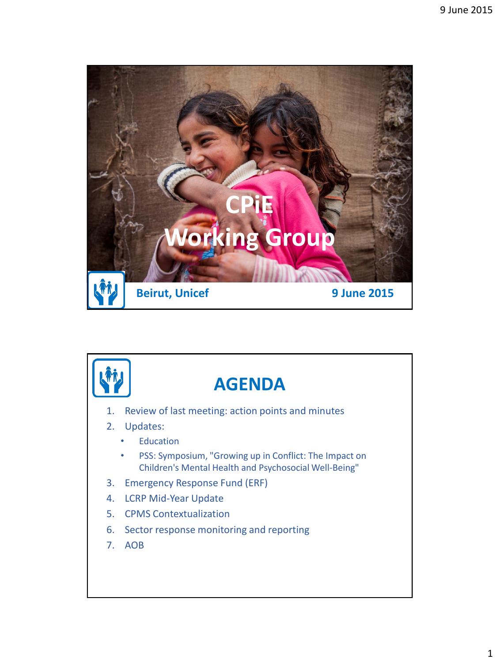

![](_page_0_Picture_2.jpeg)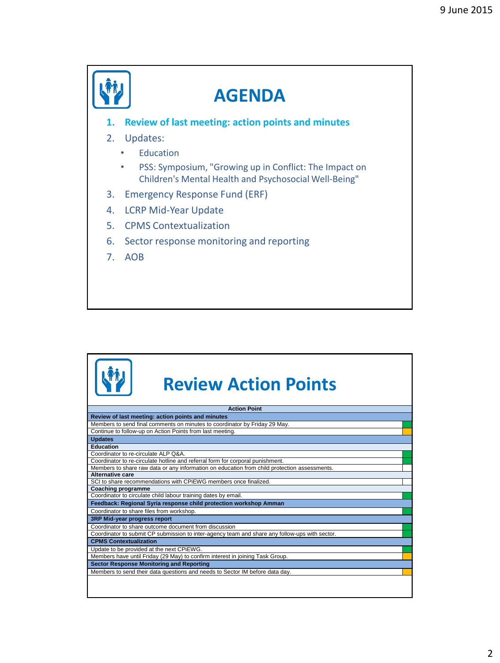|                                | <b>AGENDA</b>                                                                                                   |
|--------------------------------|-----------------------------------------------------------------------------------------------------------------|
| 1.                             | <b>Review of last meeting: action points and minutes</b>                                                        |
|                                | 2. Updates:                                                                                                     |
|                                | Education                                                                                                       |
|                                | PSS: Symposium, "Growing up in Conflict: The Impact on<br>Children's Mental Health and Psychosocial Well-Being" |
| 3.                             | Emergency Response Fund (ERF)                                                                                   |
| 4.                             | <b>LCRP Mid-Year Update</b>                                                                                     |
| 5.                             | <b>CPMS Contextualization</b>                                                                                   |
| 6.                             | Sector response monitoring and reporting                                                                        |
| $7_{\scriptscriptstyle{\sim}}$ | <b>AOB</b>                                                                                                      |
|                                |                                                                                                                 |
|                                |                                                                                                                 |

| <b>Review Action Points</b>                                                                    |
|------------------------------------------------------------------------------------------------|
| <b>Action Point</b>                                                                            |
| Review of last meeting: action points and minutes                                              |
| Members to send final comments on minutes to coordinator by Friday 29 May.                     |
| Continue to follow-up on Action Points from last meeting.                                      |
| <b>Updates</b>                                                                                 |
| Education                                                                                      |
| Coordinator to re-circulate ALP Q&A.                                                           |
| Coordinator to re-circulate hotline and referral form for corporal punishment.                 |
| Members to share raw data or any information on education from child protection assessments.   |
| Alternative care                                                                               |
| SCI to share recommendations with CPIEWG members once finalized.                               |
| <b>Coaching programme</b>                                                                      |
| Coordinator to circulate child labour training dates by email.                                 |
| Feedback: Regional Syria response child protection workshop Amman                              |
| Coordinator to share files from workshop.                                                      |
| 3RP Mid-year progress report                                                                   |
| Coordinator to share outcome document from discussion                                          |
| Coordinator to submit CP submission to inter-agency team and share any follow-ups with sector. |
| <b>CPMS Contextualization</b>                                                                  |
| Update to be provided at the next CPiEWG.                                                      |
| Members have until Friday (29 May) to confirm interest in joining Task Group.                  |
| <b>Sector Response Monitoring and Reporting</b>                                                |
| Members to send their data questions and needs to Sector IM before data day.                   |
|                                                                                                |
|                                                                                                |
|                                                                                                |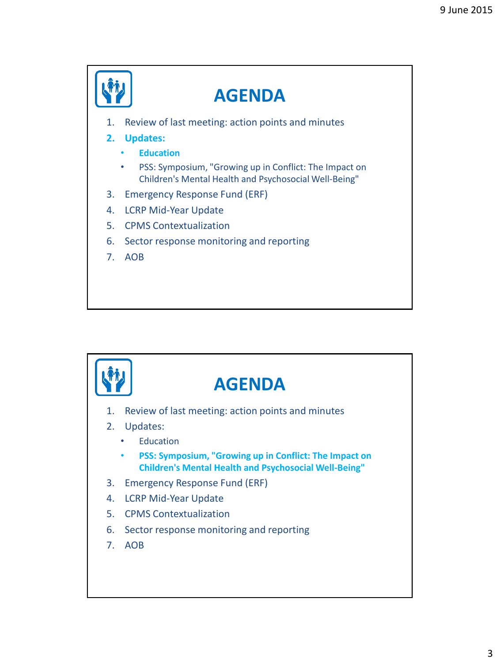![](_page_2_Figure_1.jpeg)

![](_page_2_Picture_2.jpeg)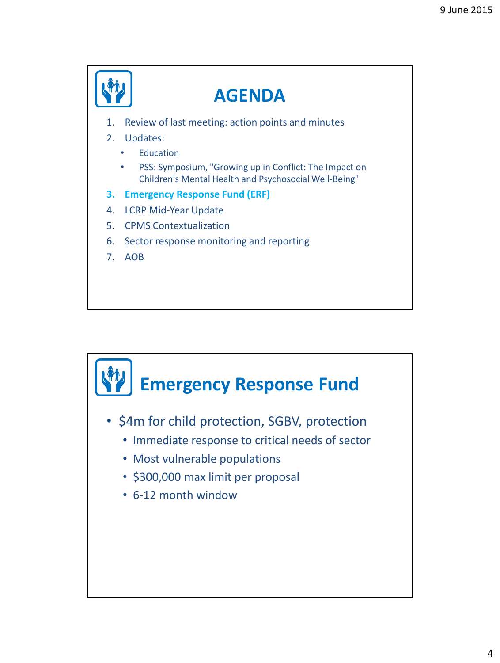![](_page_3_Figure_1.jpeg)

![](_page_3_Figure_2.jpeg)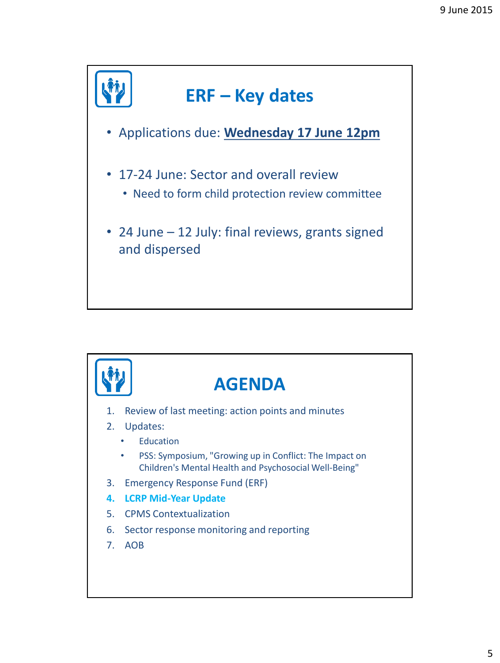![](_page_4_Figure_1.jpeg)

![](_page_4_Picture_2.jpeg)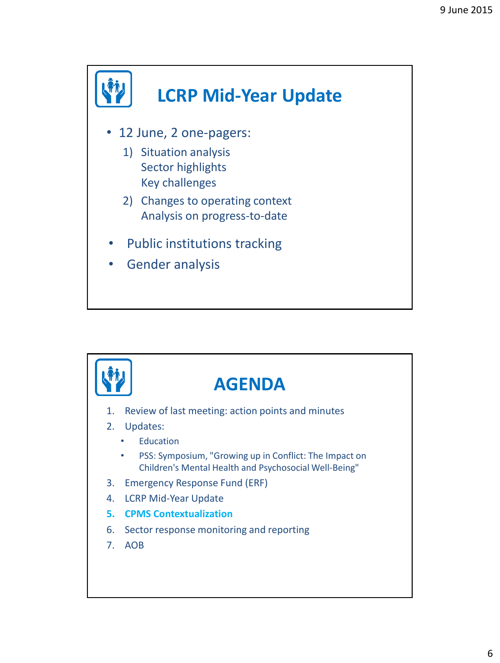![](_page_5_Figure_1.jpeg)

![](_page_5_Picture_2.jpeg)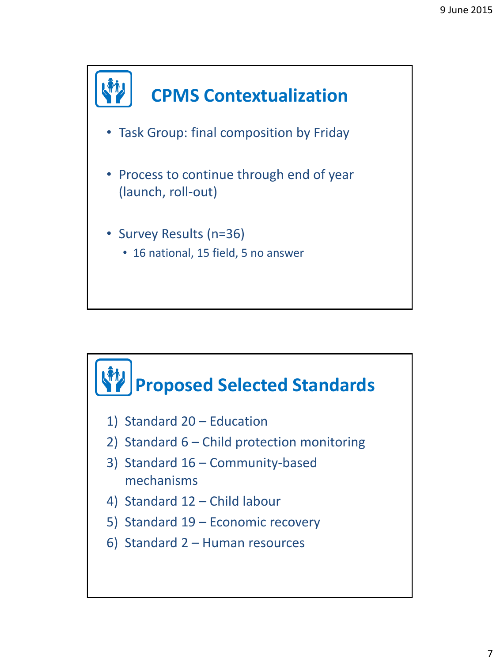![](_page_6_Figure_1.jpeg)

![](_page_6_Figure_2.jpeg)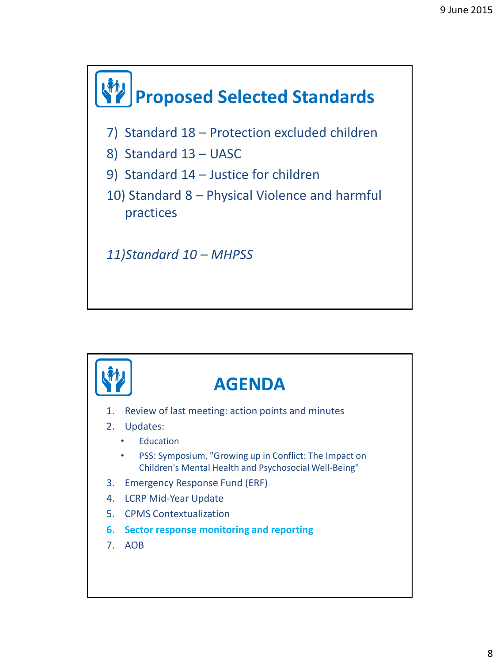![](_page_7_Figure_1.jpeg)

![](_page_7_Figure_2.jpeg)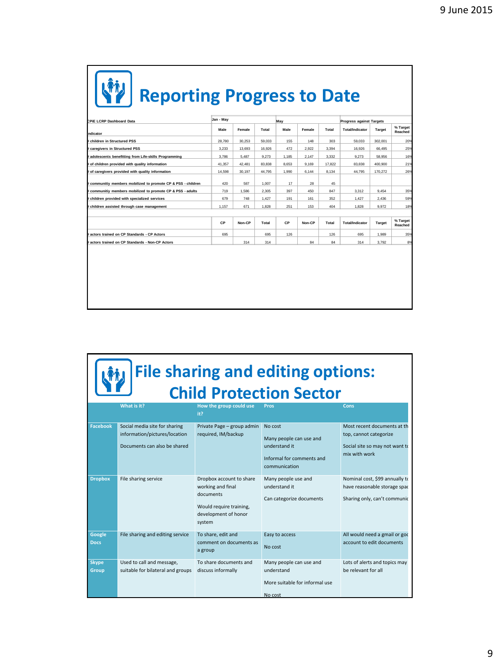## **Reporting Progress to Date**

| CPIE LCRP Dashboard Data                                    | Jan - May |        |        | May   |        |        | <b>Progress against Targets</b> |         |                     |
|-------------------------------------------------------------|-----------|--------|--------|-------|--------|--------|---------------------------------|---------|---------------------|
|                                                             | Male      | Female | Total  | Male  | Female | Total  | <b>Total/Indicator</b>          | Target  | % Target<br>Reached |
| ndicator<br>children in Structured PSS                      | 28,780    | 30.253 |        | 155   | 148    | 303    | 59.033                          |         | 20%                 |
|                                                             |           |        | 59,033 |       |        |        |                                 | 302,001 |                     |
| caregivers in Structured PSS                                | 3,233     | 13,693 | 16,926 | 472   | 2.922  | 3.394  | 16.926                          | 66,495  | 25%                 |
| adolescents benefitting from Life-skills Programming        | 3,786     | 5.487  | 9,273  | 1.185 | 2.147  | 3.332  | 9.273                           | 58,956  | 16%                 |
| t of children provided with quality information             | 41.357    | 42,481 | 83.838 | 8.653 | 9.169  | 17.822 | 83.838                          | 400.900 | 21%                 |
| of caregivers provided with quality information             | 14,598    | 30,197 | 44,795 | 1.990 | 6,144  | 8,134  | 44.795                          | 170,272 | 26%                 |
| communitiy members mobilized to promote CP & PSS - children | 420       | 587    | 1.007  | 17    | 28     | 45     |                                 |         |                     |
| communitiy members mobilized to promote CP & PSS - adults   | 719       | 1,586  | 2,305  | 397   | 450    | 847    | 3,312                           | 9.454   | 35%                 |
| children provided with specialized services                 | 679       | 748    | 1,427  | 191   | 161    | 352    | 1,427                           | 2,436   | 59%                 |
| children assisted through case management                   | 1,157     | 671    | 1,828  | 251   | 153    | 404    | 1.828                           | 9,972   | 18%                 |
|                                                             |           |        |        |       |        |        |                                 |         |                     |
|                                                             | CP        | Non-CP | Total  | CP    | Non-CP | Total  | <b>Total/Indicator</b>          | Target  | % Target<br>Reached |
| actors trained on CP Standards - CP Actors                  | 695       |        | 695    | 126   |        | 126    | 695                             | 1.989   | 35%                 |
| actors trained on CP Standards - Non-CP Actors              |           | 314    | 314    |       | 84     | 84     | 314                             | 3,792   | 8%                  |
|                                                             |           |        |        |       |        |        |                                 |         |                     |

## **File sharing and editing options: Child Protection Sector**

|                       | What is it?                                                                                    | How the group could use<br>it?                                                                                          | Pros                                                                                              | Cons                                                                                                      |
|-----------------------|------------------------------------------------------------------------------------------------|-------------------------------------------------------------------------------------------------------------------------|---------------------------------------------------------------------------------------------------|-----------------------------------------------------------------------------------------------------------|
| <b>Facebook</b>       | Social media site for sharing<br>information/pictures/location<br>Documents can also be shared | Private Page - group admin<br>required, IM/backup                                                                       | No cost<br>Many people can use and<br>understand it<br>Informal for comments and<br>communication | Most recent documents at the<br>top, cannot categorize<br>Social site so may not want to<br>mix with work |
| <b>Dropbox</b>        | File sharing service                                                                           | Dropbox account to share<br>working and final<br>documents<br>Would require training,<br>development of honor<br>system | Many people use and<br>understand it<br>Can categorize documents                                  | Nominal cost, \$99 annually to<br>have reasonable storage spac<br>Sharing only, can't communic            |
| Google<br><b>Docs</b> | File sharing and editing service                                                               | To share, edit and<br>comment on documents as<br>a group                                                                | Easy to access<br>No cost                                                                         | All would need a gmail or god<br>account to edit documents                                                |
| <b>Skype</b><br>Group | Used to call and message,<br>suitable for bilateral and groups                                 | To share documents and<br>discuss informally                                                                            | Many people can use and<br>understand<br>More suitable for informal use<br>No cost                | Lots of alerts and topics may<br>be relevant for all                                                      |